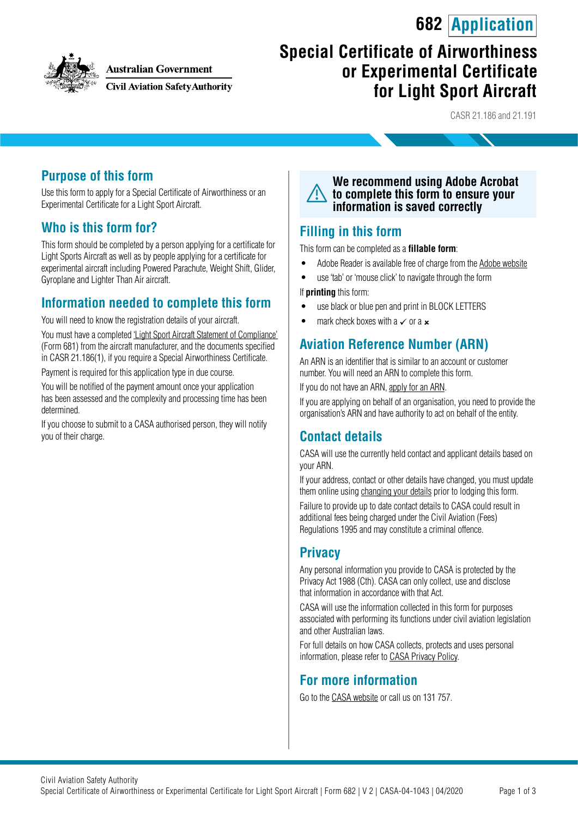## **682 Application**



**Australian Government** 

**Civil Aviation Safety Authority** 

# **Special Certificate of Airworthiness or Experimental Certificate for Light Sport Aircraft**

CASR 21.186 and 21.191

#### **Purpose of this form**

Use this form to apply for a Special Certificate of Airworthiness or an Experimental Certificate for a Light Sport Aircraft.

#### **Who is this form for?**

This form should be completed by a person applying for a certificate for Light Sports Aircraft as well as by people applying for a certificate for experimental aircraft including Powered Parachute, Weight Shift, Glider, Gyroplane and Lighter Than Air aircraft.

#### **Information needed to complete this form**

You will need to know the registration details of your aircraft.

You must have a completed ['Light Sport Aircraft Statement of Compliance](https://www.casa.gov.au/publications-and-resources/forms-and-templates)' (Form 681) from the aircraft manufacturer, and the documents specified in CASR 21.186(1), if you require a Special Airworthiness Certificate.

Payment is required for this application type in due course.

You will be notified of the payment amount once your application has been assessed and the complexity and processing time has been determined.

If you choose to submit to a CASA authorised person, they will notify you of their charge.



#### **Filling in this form**

This form can be completed as a **fillable form**:

- Adobe Reader is available free of charge from the [Adobe website](https://get.adobe.com/reader/)
- use 'tab' or 'mouse click' to navigate through the form

If **printing** this form:

- use black or blue pen and print in BLOCK LETTERS
- mark check boxes with a  $\checkmark$  or a  $\checkmark$

### **Aviation Reference Number (ARN)**

An ARN is an identifier that is similar to an account or customer number. You will need an ARN to complete this form.

If you do not have an ARN, [apply for an ARN](https://www.casa.gov.au/licences-and-certification/individual-licensing/applying-aviation-reference-number-arn).

If you are applying on behalf of an organisation, you need to provide the organisation's ARN and have authority to act on behalf of the entity.

#### **Contact details**

CASA will use the currently held contact and applicant details based on your ARN.

If your address, contact or other details have changed, you must update them online using [changing your details](https://www.casa.gov.au/licences-and-certification/individual-licensing/licence-information/changing-your-details) prior to lodging this form.

Failure to provide up to date contact details to CASA could result in additional fees being charged under the Civil Aviation (Fees) Regulations 1995 and may constitute a criminal offence.

### **Privacy**

Any personal information you provide to CASA is protected by the Privacy Act 1988 (Cth). CASA can only collect, use and disclose that information in accordance with that Act.

CASA will use the information collected in this form for purposes associated with performing its functions under civil aviation legislation and other Australian laws.

For full details on how CASA collects, protects and uses personal information, please refer to [CASA Privacy Policy](http://www.casa.gov.au/privacy-policy).

#### **For more information**

Go to the [CASA website](http://www.casa.gov.au) or call us on 131 757.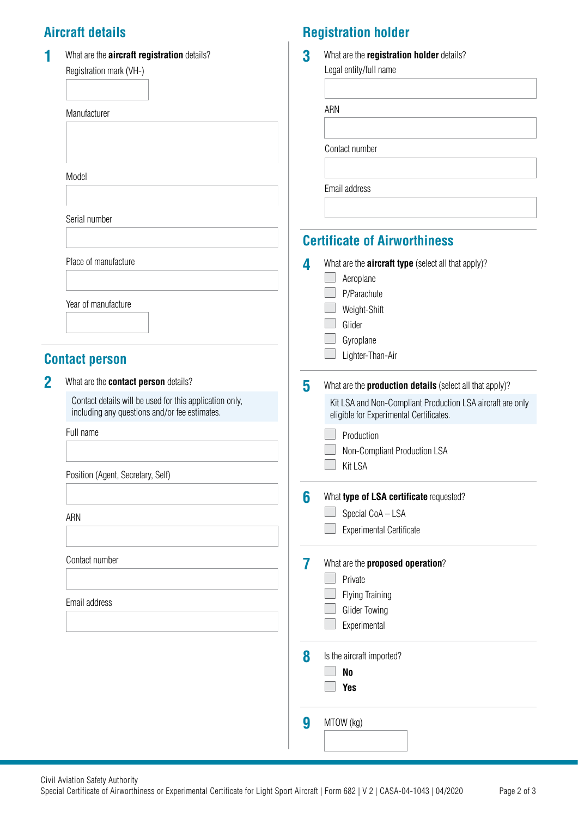## **Aircraft details**

| 1           | What are the <b>aircraft registration</b> details?<br>Registration mark (VH-)                            | 3 | What are the registration holder details?<br>Legal entity/full name                                   |
|-------------|----------------------------------------------------------------------------------------------------------|---|-------------------------------------------------------------------------------------------------------|
|             | Manufacturer                                                                                             |   | ARN                                                                                                   |
|             |                                                                                                          |   |                                                                                                       |
|             |                                                                                                          |   | Contact number                                                                                        |
|             | Model                                                                                                    |   | Email address                                                                                         |
|             |                                                                                                          |   |                                                                                                       |
|             | Serial number                                                                                            |   | <b>Certificate of Airworthiness</b>                                                                   |
|             | Place of manufacture                                                                                     | 4 | What are the <b>aircraft type</b> (select all that apply)?                                            |
|             |                                                                                                          |   | Aeroplane                                                                                             |
|             | Year of manufacture                                                                                      |   | P/Parachute                                                                                           |
|             |                                                                                                          |   | Weight-Shift<br>Glider                                                                                |
|             |                                                                                                          |   | Gyroplane                                                                                             |
|             | <b>Contact person</b>                                                                                    |   | Lighter-Than-Air                                                                                      |
| $\mathbf 2$ | What are the contact person details?                                                                     | 5 | What are the <b>production details</b> (select all that apply)?                                       |
|             | Contact details will be used for this application only,<br>including any questions and/or fee estimates. |   | Kit LSA and Non-Compliant Production LSA aircraft are only<br>eligible for Experimental Certificates. |
|             | Full name                                                                                                |   | Production                                                                                            |
|             |                                                                                                          |   | Non-Compliant Production LSA<br>Kit LSA                                                               |
|             | Position (Agent, Secretary, Self)                                                                        |   |                                                                                                       |
|             |                                                                                                          | 6 | What type of LSA certificate requested?                                                               |
|             | ARN                                                                                                      |   | Special CoA - LSA                                                                                     |
|             |                                                                                                          |   | <b>Experimental Certificate</b>                                                                       |
|             | Contact number                                                                                           | 7 | What are the proposed operation?                                                                      |
|             |                                                                                                          |   | Private                                                                                               |
|             | Email address                                                                                            |   | <b>Flying Training</b>                                                                                |
|             |                                                                                                          |   | <b>Glider Towing</b><br>Experimental                                                                  |
|             |                                                                                                          | 8 | Is the aircraft imported?                                                                             |
|             |                                                                                                          |   | N <sub>o</sub>                                                                                        |
|             |                                                                                                          |   | <b>Yes</b>                                                                                            |
|             |                                                                                                          | 9 | MTOW (kg)                                                                                             |
|             |                                                                                                          |   |                                                                                                       |

**Registration holder**